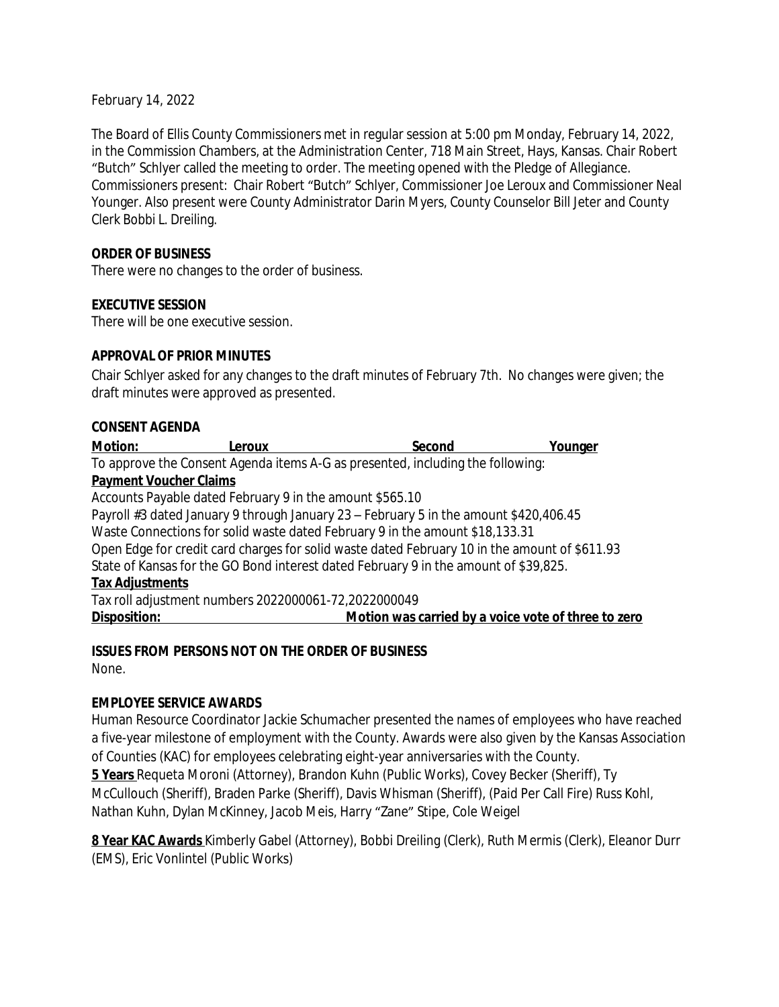February 14, 2022

The Board of Ellis County Commissioners met in regular session at 5:00 pm Monday, February 14, 2022, in the Commission Chambers, at the Administration Center, 718 Main Street, Hays, Kansas. Chair Robert "Butch" Schlyer called the meeting to order. The meeting opened with the Pledge of Allegiance. Commissioners present: Chair Robert "Butch" Schlyer, Commissioner Joe Leroux and Commissioner Neal Younger. Also present were County Administrator Darin Myers, County Counselor Bill Jeter and County Clerk Bobbi L. Dreiling.

## **ORDER OF BUSINESS**

There were no changes to the order of business.

## **EXECUTIVE SESSION**

There will be one executive session.

#### **APPROVAL OF PRIOR MINUTES**

Chair Schlyer asked for any changes to the draft minutes of February 7th. No changes were given; the draft minutes were approved as presented.

#### **CONSENT AGENDA**

| <b>Motion:</b>                | Leroux                                                                                        | Second                                              | Younger |
|-------------------------------|-----------------------------------------------------------------------------------------------|-----------------------------------------------------|---------|
|                               | To approve the Consent Agenda items A-G as presented, including the following:                |                                                     |         |
| <b>Payment Voucher Claims</b> |                                                                                               |                                                     |         |
|                               | Accounts Payable dated February 9 in the amount \$565.10                                      |                                                     |         |
|                               | Payroll #3 dated January 9 through January 23 – February 5 in the amount \$420,406.45         |                                                     |         |
|                               | Waste Connections for solid waste dated February 9 in the amount \$18,133.31                  |                                                     |         |
|                               | Open Edge for credit card charges for solid waste dated February 10 in the amount of \$611.93 |                                                     |         |
|                               | State of Kansas for the GO Bond interest dated February 9 in the amount of \$39,825.          |                                                     |         |
| <b>Tax Adjustments</b>        |                                                                                               |                                                     |         |
|                               | Tax roll adjustment numbers 2022000061-72,2022000049                                          |                                                     |         |
| Disposition:                  |                                                                                               | Motion was carried by a voice vote of three to zero |         |

## **ISSUES FROM PERSONS NOT ON THE ORDER OF BUSINESS**

None.

## **EMPLOYEE SERVICE AWARDS**

Human Resource Coordinator Jackie Schumacher presented the names of employees who have reached a five-year milestone of employment with the County. Awards were also given by the Kansas Association of Counties (KAC) for employees celebrating eight-year anniversaries with the County.

**5 Years** Requeta Moroni (Attorney), Brandon Kuhn (Public Works), Covey Becker (Sheriff), Ty McCullouch (Sheriff), Braden Parke (Sheriff), Davis Whisman (Sheriff), (Paid Per Call Fire) Russ Kohl, Nathan Kuhn, Dylan McKinney, Jacob Meis, Harry "Zane" Stipe, Cole Weigel

**8 Year KAC Awards** Kimberly Gabel (Attorney), Bobbi Dreiling (Clerk), Ruth Mermis (Clerk), Eleanor Durr (EMS), Eric Vonlintel (Public Works)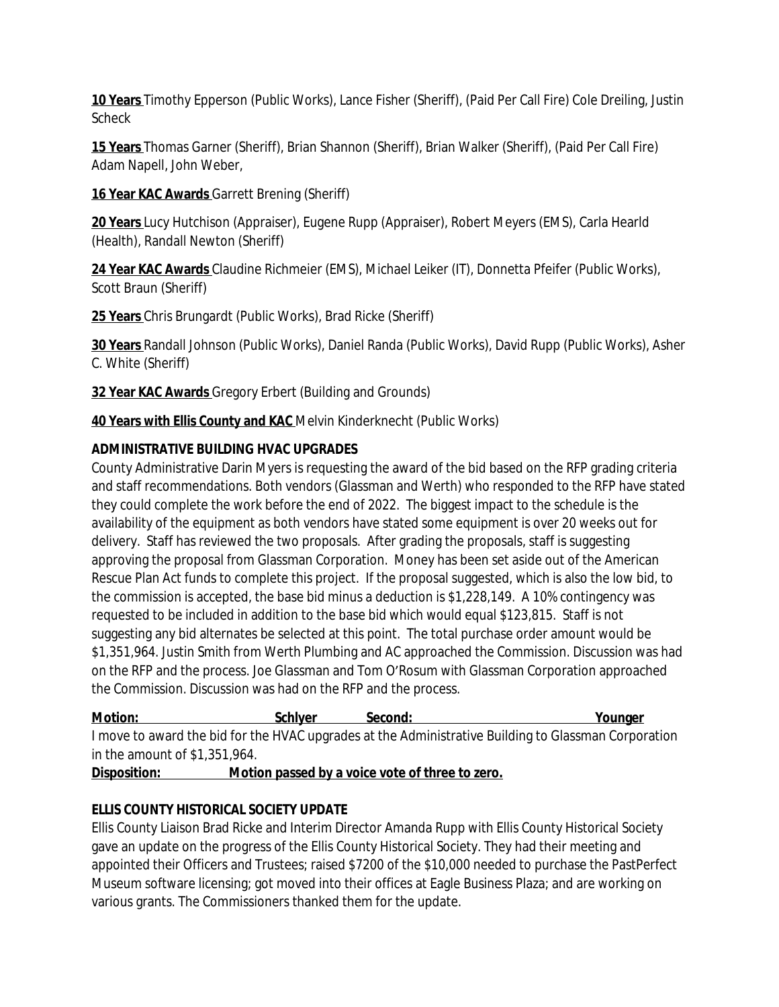**10 Years** Timothy Epperson (Public Works), Lance Fisher (Sheriff), (Paid Per Call Fire) Cole Dreiling, Justin Scheck

**15 Years** Thomas Garner (Sheriff), Brian Shannon (Sheriff), Brian Walker (Sheriff), (Paid Per Call Fire) Adam Napell, John Weber,

**16 Year KAC Awards** Garrett Brening (Sheriff)

**20 Years** Lucy Hutchison (Appraiser), Eugene Rupp (Appraiser), Robert Meyers (EMS), Carla Hearld (Health), Randall Newton (Sheriff)

**24 Year KAC Awards** Claudine Richmeier (EMS), Michael Leiker (IT), Donnetta Pfeifer (Public Works), Scott Braun (Sheriff)

**25 Years** Chris Brungardt (Public Works), Brad Ricke (Sheriff)

**30 Years** Randall Johnson (Public Works), Daniel Randa (Public Works), David Rupp (Public Works), Asher C. White (Sheriff)

**32 Year KAC Awards** Gregory Erbert (Building and Grounds)

**40 Years with Ellis County and KAC** Melvin Kinderknecht (Public Works)

# **ADMINISTRATIVE BUILDING HVAC UPGRADES**

County Administrative Darin Myers is requesting the award of the bid based on the RFP grading criteria and staff recommendations. Both vendors (Glassman and Werth) who responded to the RFP have stated they could complete the work before the end of 2022. The biggest impact to the schedule is the availability of the equipment as both vendors have stated some equipment is over 20 weeks out for delivery. Staff has reviewed the two proposals. After grading the proposals, staff is suggesting approving the proposal from Glassman Corporation. Money has been set aside out of the American Rescue Plan Act funds to complete this project. If the proposal suggested, which is also the low bid, to the commission is accepted, the base bid minus a deduction is \$1,228,149. A 10% contingency was requested to be included in addition to the base bid which would equal \$123,815. Staff is not suggesting any bid alternates be selected at this point. The total purchase order amount would be \$1,351,964. Justin Smith from Werth Plumbing and AC approached the Commission. Discussion was had on the RFP and the process. Joe Glassman and Tom O'Rosum with Glassman Corporation approached the Commission. Discussion was had on the RFP and the process.

**Motion:** Notion: Schlyer Second: Younger I move to award the bid for the HVAC upgrades at the Administrative Building to Glassman Corporation in the amount of \$1,351,964.

**Disposition: Motion passed by a voice vote of three to zero.**

# **ELLIS COUNTY HISTORICAL SOCIETY UPDATE**

Ellis County Liaison Brad Ricke and Interim Director Amanda Rupp with Ellis County Historical Society gave an update on the progress of the Ellis County Historical Society. They had their meeting and appointed their Officers and Trustees; raised \$7200 of the \$10,000 needed to purchase the PastPerfect Museum software licensing; got moved into their offices at Eagle Business Plaza; and are working on various grants. The Commissioners thanked them for the update.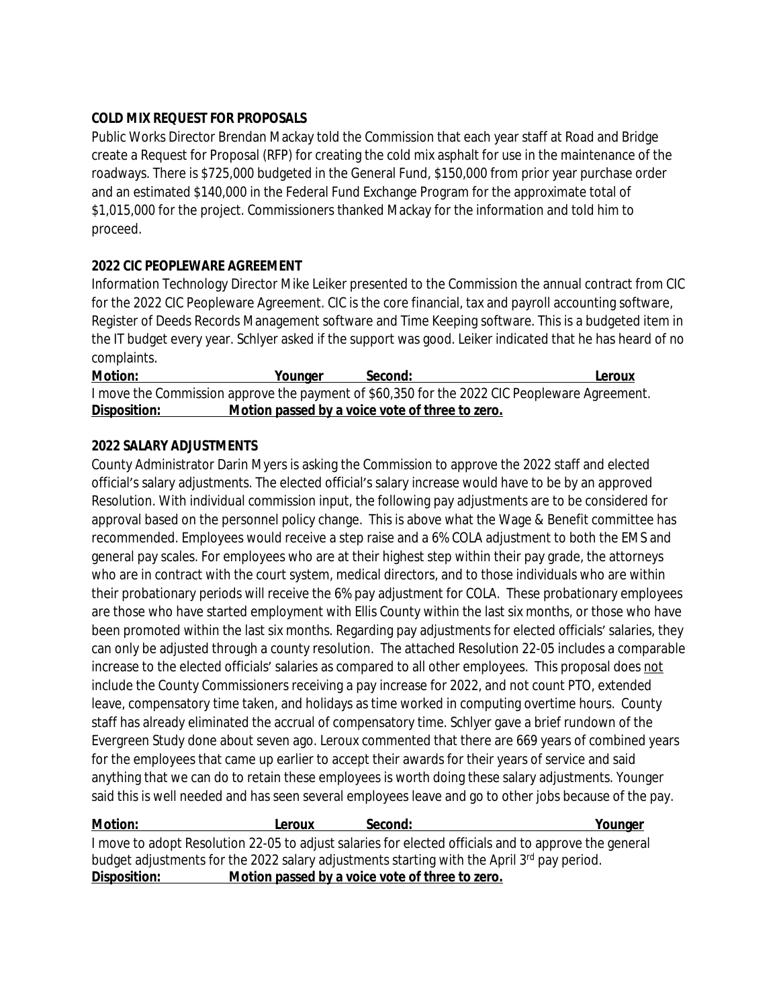## **COLD MIX REQUEST FOR PROPOSALS**

Public Works Director Brendan Mackay told the Commission that each year staff at Road and Bridge create a Request for Proposal (RFP) for creating the cold mix asphalt for use in the maintenance of the roadways. There is \$725,000 budgeted in the General Fund, \$150,000 from prior year purchase order and an estimated \$140,000 in the Federal Fund Exchange Program for the approximate total of \$1,015,000 for the project. Commissioners thanked Mackay for the information and told him to proceed.

## **2022 CIC PEOPLEWARE AGREEMENT**

Information Technology Director Mike Leiker presented to the Commission the annual contract from CIC for the 2022 CIC Peopleware Agreement. CIC is the core financial, tax and payroll accounting software, Register of Deeds Records Management software and Time Keeping software. This is a budgeted item in the IT budget every year. Schlyer asked if the support was good. Leiker indicated that he has heard of no complaints.

| <b>Motion:</b> | Younger                                         | Second: | Leroux                                                                                       |
|----------------|-------------------------------------------------|---------|----------------------------------------------------------------------------------------------|
|                |                                                 |         | I move the Commission approve the payment of \$60,350 for the 2022 CIC Peopleware Agreement. |
| Disposition:   | Motion passed by a voice vote of three to zero. |         |                                                                                              |

## **2022 SALARY ADJUSTMENTS**

County Administrator Darin Myers is asking the Commission to approve the 2022 staff and elected official's salary adjustments. The elected official's salary increase would have to be by an approved Resolution. With individual commission input, the following pay adjustments are to be considered for approval based on the personnel policy change. This is above what the Wage & Benefit committee has recommended. Employees would receive a step raise and a 6% COLA adjustment to both the EMS and general pay scales. For employees who are at their highest step within their pay grade, the attorneys who are in contract with the court system, medical directors, and to those individuals who are within their probationary periods will receive the 6% pay adjustment for COLA. These probationary employees are those who have started employment with Ellis County within the last six months, or those who have been promoted within the last six months. Regarding pay adjustments for elected officials' salaries, they can only be adjusted through a county resolution. The attached Resolution 22-05 includes a comparable increase to the elected officials' salaries as compared to all other employees. This proposal does not include the County Commissioners receiving a pay increase for 2022, and not count PTO, extended leave, compensatory time taken, and holidays as time worked in computing overtime hours. County staff has already eliminated the accrual of compensatory time. Schlyer gave a brief rundown of the Evergreen Study done about seven ago. Leroux commented that there are 669 years of combined years for the employees that came up earlier to accept their awards for their years of service and said anything that we can do to retain these employees is worth doing these salary adjustments. Younger said this is well needed and has seen several employees leave and go to other jobs because of the pay.

| <b>Motion:</b> | Leroux                                          | Second: | Younger                                                                                              |
|----------------|-------------------------------------------------|---------|------------------------------------------------------------------------------------------------------|
|                |                                                 |         | I move to adopt Resolution 22-05 to adjust salaries for elected officials and to approve the general |
|                |                                                 |         | budget adjustments for the 2022 salary adjustments starting with the April 3rd pay period.           |
| Disposition:   | Motion passed by a voice vote of three to zero. |         |                                                                                                      |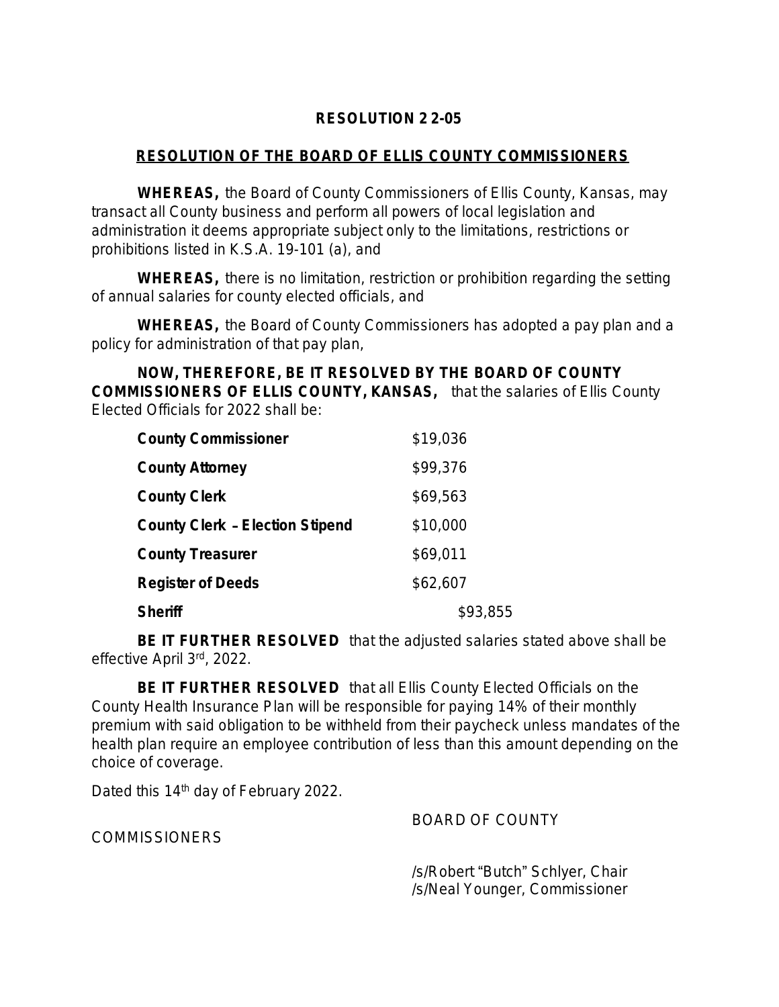# **RESOLUTION 2 2-05**

# **RESOLUTION OF THE BOARD OF ELLIS COUNTY COMMISSIONERS**

**WHEREAS,** the Board of County Commissioners of Ellis County, Kansas, may transact all County business and perform all powers of local legislation and administration it deems appropriate subject only to the limitations, restrictions or prohibitions listed in K.S.A. 19-101 (a), and

**WHEREAS,** there is no limitation, restriction or prohibition regarding the setting of annual salaries for county elected officials, and

**WHEREAS,** the Board of County Commissioners has adopted a pay plan and a policy for administration of that pay plan,

**NOW, THEREFORE, BE IT RESOLVED BY THE BOARD OF COUNTY COMMISSIONERS OF ELLIS COUNTY, KANSAS,** that the salaries of Ellis County Elected Officials for 2022 shall be:

| <b>County Commissioner</b>             | \$19,036 |
|----------------------------------------|----------|
| <b>County Attorney</b>                 | \$99,376 |
| <b>County Clerk</b>                    | \$69,563 |
| <b>County Clerk - Election Stipend</b> | \$10,000 |
| <b>County Treasurer</b>                | \$69,011 |
| <b>Register of Deeds</b>               | \$62,607 |
| <b>Sheriff</b>                         | \$93,855 |

**BE IT FURTHER RESOLVED** that the adjusted salaries stated above shall be effective April 3rd, 2022.

**BE IT FURTHER RESOLVED** that all Ellis County Elected Officials on the County Health Insurance Plan will be responsible for paying 14% of their monthly premium with said obligation to be withheld from their paycheck unless mandates of the health plan require an employee contribution of less than this amount depending on the choice of coverage.

Dated this 14<sup>th</sup> day of February 2022.

BOARD OF COUNTY

**COMMISSIONERS** 

/s/Robert "Butch" Schlyer, Chair /s/Neal Younger, Commissioner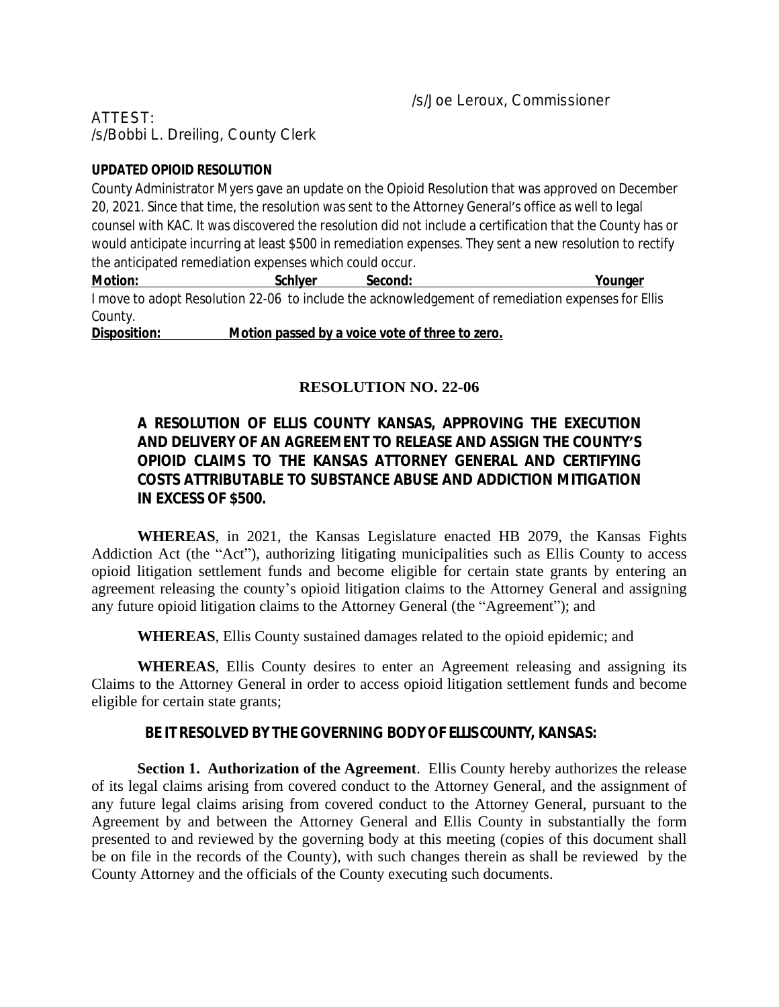ATTEST: /s/Bobbi L. Dreiling, County Clerk

## **UPDATED OPIOID RESOLUTION**

County Administrator Myers gave an update on the Opioid Resolution that was approved on December 20, 2021. Since that time, the resolution was sent to the Attorney General's office as well to legal counsel with KAC. It was discovered the resolution did not include a certification that the County has or would anticipate incurring at least \$500 in remediation expenses. They sent a new resolution to rectify the anticipated remediation expenses which could occur.

**Motion: Schlyer Second: Younger** I move to adopt Resolution 22-06 to include the acknowledgement of remediation expenses for Ellis County.

**Disposition: Motion passed by a voice vote of three to zero.**

# **RESOLUTION NO. 22-06**

# **A RESOLUTION OF ELLIS COUNTY KANSAS, APPROVING THE EXECUTION AND DELIVERY OF AN AGREEMENT TO RELEASE AND ASSIGN THE COUNTY'S OPIOID CLAIMS TO THE KANSAS ATTORNEY GENERAL AND CERTIFYING COSTS ATTRIBUTABLE TO SUBSTANCE ABUSE AND ADDICTION MITIGATION IN EXCESS OF \$500.**

**WHEREAS**, in 2021, the Kansas Legislature enacted HB 2079, the Kansas Fights Addiction Act (the "Act"), authorizing litigating municipalities such as Ellis County to access opioid litigation settlement funds and become eligible for certain state grants by entering an agreement releasing the county's opioid litigation claims to the Attorney General and assigning any future opioid litigation claims to the Attorney General (the "Agreement"); and

**WHEREAS**, Ellis County sustained damages related to the opioid epidemic; and

**WHEREAS**, Ellis County desires to enter an Agreement releasing and assigning its Claims to the Attorney General in order to access opioid litigation settlement funds and become eligible for certain state grants;

## **BE IT RESOLVED BY THEGOVERNING BODYOF ELLISCOUNTY, KANSAS:**

**Section 1. Authorization of the Agreement**. Ellis County hereby authorizes the release of its legal claims arising from covered conduct to the Attorney General, and the assignment of any future legal claims arising from covered conduct to the Attorney General, pursuant to the Agreement by and between the Attorney General and Ellis County in substantially the form presented to and reviewed by the governing body at this meeting (copies of this document shall be on file in the records of the County), with such changes therein as shall be reviewed by the County Attorney and the officials of the County executing such documents.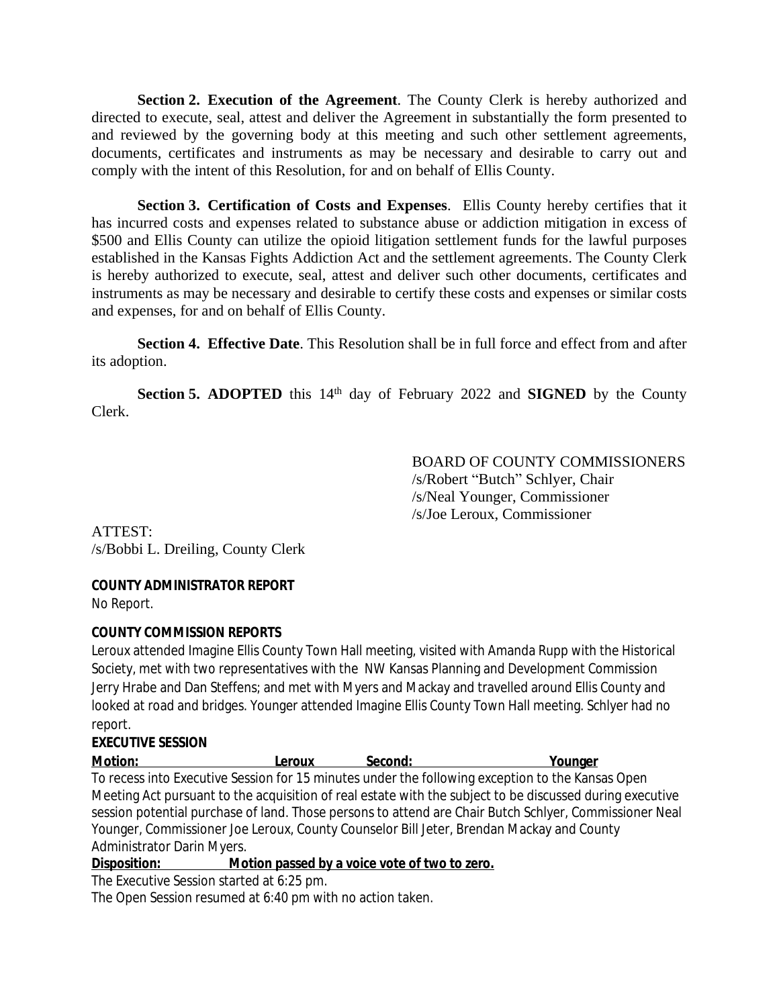**Section 2. Execution of the Agreement**. The County Clerk is hereby authorized and directed to execute, seal, attest and deliver the Agreement in substantially the form presented to and reviewed by the governing body at this meeting and such other settlement agreements, documents, certificates and instruments as may be necessary and desirable to carry out and comply with the intent of this Resolution, for and on behalf of Ellis County.

**Section 3. Certification of Costs and Expenses**. Ellis County hereby certifies that it has incurred costs and expenses related to substance abuse or addiction mitigation in excess of \$500 and Ellis County can utilize the opioid litigation settlement funds for the lawful purposes established in the Kansas Fights Addiction Act and the settlement agreements. The County Clerk is hereby authorized to execute, seal, attest and deliver such other documents, certificates and instruments as may be necessary and desirable to certify these costs and expenses or similar costs and expenses, for and on behalf of Ellis County.

**Section 4. Effective Date**. This Resolution shall be in full force and effect from and after its adoption.

**Section 5. ADOPTED** this 14<sup>th</sup> day of February 2022 and **SIGNED** by the County Clerk.

> BOARD OF COUNTY COMMISSIONERS /s/Robert "Butch" Schlyer, Chair /s/Neal Younger, Commissioner /s/Joe Leroux, Commissioner

ATTEST: /s/Bobbi L. Dreiling, County Clerk

## **COUNTY ADMINISTRATOR REPORT**

No Report.

## **COUNTY COMMISSION REPORTS**

Leroux attended Imagine Ellis County Town Hall meeting, visited with Amanda Rupp with the Historical Society, met with two representatives with the NW Kansas Planning and Development Commission Jerry Hrabe and Dan Steffens; and met with Myers and Mackay and travelled around Ellis County and looked at road and bridges. Younger attended Imagine Ellis County Town Hall meeting. Schlyer had no report.

# **EXECUTIVE SESSION**

| <b>Motion:</b>                    | Leroux | Second: | Younger                                                                                                  |
|-----------------------------------|--------|---------|----------------------------------------------------------------------------------------------------------|
|                                   |        |         | To recess into Executive Session for 15 minutes under the following exception to the Kansas Open         |
|                                   |        |         | Meeting Act pursuant to the acquisition of real estate with the subject to be discussed during executive |
|                                   |        |         | session potential purchase of land. Those persons to attend are Chair Butch Schlyer, Commissioner Neal   |
|                                   |        |         | Younger, Commissioner Joe Leroux, County Counselor Bill Jeter, Brendan Mackay and County                 |
| <b>Administrator Darin Myers.</b> |        |         |                                                                                                          |

**Disposition: Motion passed by a voice vote of two to zero.**

The Executive Session started at 6:25 pm.

The Open Session resumed at 6:40 pm with no action taken.